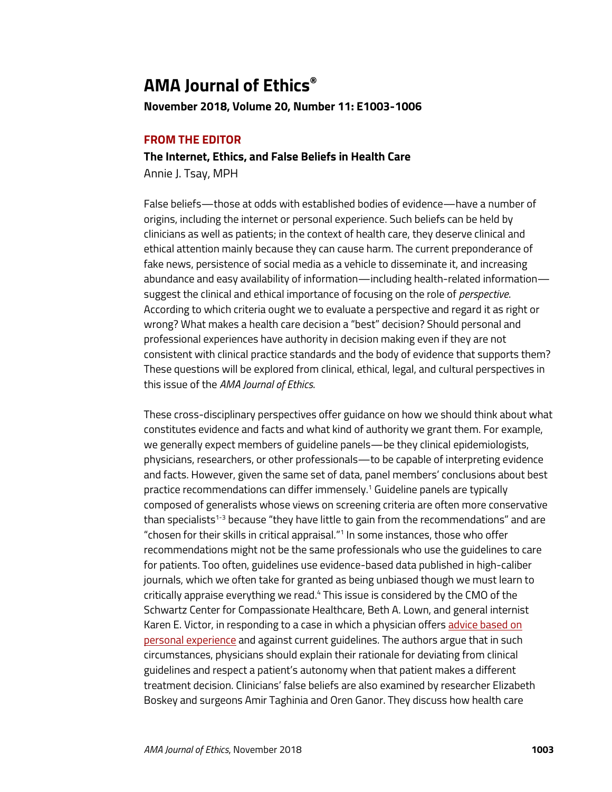# **AMA Journal of Ethics®**

**November 2018, Volume 20, Number 11: E1003-1006**

## **FROM THE EDITOR**

## **The Internet, Ethics, and False Beliefs in Health Care**

Annie J. Tsay, MPH

False beliefs—those at odds with established bodies of evidence—have a number of origins, including the internet or personal experience. Such beliefs can be held by clinicians as well as patients; in the context of health care, they deserve clinical and ethical attention mainly because they can cause harm. The current preponderance of fake news, persistence of social media as a vehicle to disseminate it, and increasing abundance and easy availability of information—including health-related information suggest the clinical and ethical importance of focusing on the role of *perspective*. According to which criteria ought we to evaluate a perspective and regard it as right or wrong? What makes a health care decision a "best" decision? Should personal and professional experiences have authority in decision making even if they are not consistent with clinical practice standards and the body of evidence that supports them? These questions will be explored from clinical, ethical, legal, and cultural perspectives in this issue of the *AMA Journal of Ethics*.

These cross-disciplinary perspectives offer guidance on how we should think about what constitutes evidence and facts and what kind of authority we grant them. For example, we generally expect members of guideline panels—be they clinical epidemiologists, physicians, researchers, or other professionals—to be capable of interpreting evidence and facts. However, given the same set of data, panel members' conclusions about best practice recommendations can differ immensely.<sup>1</sup> Guideline panels are typically composed of generalists whose views on screening criteria are often more conservative than specialists<sup>1-3</sup> because "they have little to gain from the recommendations" and are "chosen for their skills in critical appraisal."1 In some instances, those who offer recommendations might not be the same professionals who use the guidelines to care for patients. Too often, guidelines use evidence-based data published in high-caliber journals, which we often take for granted as being unbiased though we must learn to critically appraise everything we read.4 This issue is considered by the CMO of the Schwartz Center for Compassionate Healthcare, Beth A. Lown, and general internist Karen E. Victor, in responding to a case in which a physician offer[s advice based on](https://journalofethics.ama-assn.org/article/should-physician-offer-recommendations-based-experience-contrary-current-practice-guidelines/2018-11)  [personal experience](https://journalofethics.ama-assn.org/article/should-physician-offer-recommendations-based-experience-contrary-current-practice-guidelines/2018-11) and against current guidelines. The authors argue that in such circumstances, physicians should explain their rationale for deviating from clinical guidelines and respect a patient's autonomy when that patient makes a different treatment decision. Clinicians' false beliefs are also examined by researcher Elizabeth Boskey and surgeons Amir Taghinia and Oren Ganor. They discuss how health care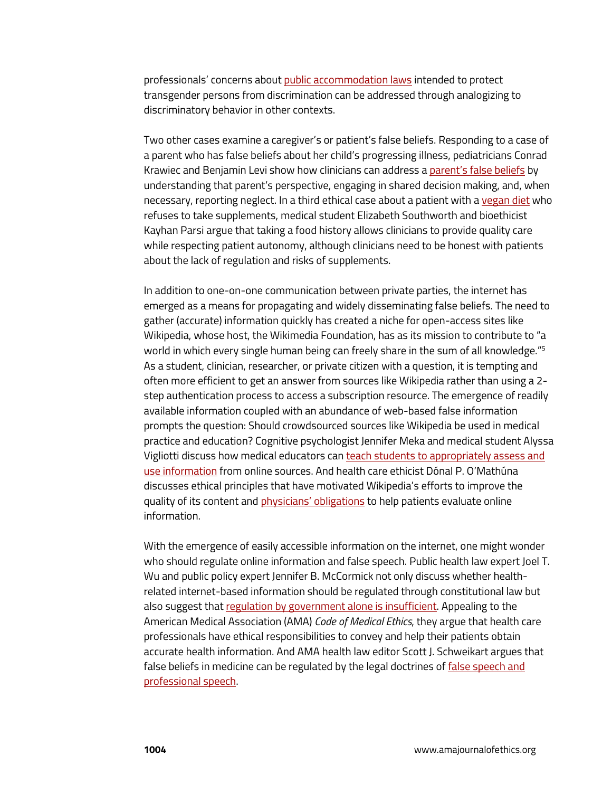professionals' concerns about [public accommodation laws](https://journalofethics.ama-assn.org/article/public-accommodation-laws-and-gender-panic-clinical-settings/2018-11) intended to protect transgender persons from discrimination can be addressed through analogizing to discriminatory behavior in other contexts.

Two other cases examine a caregiver's or patient's false beliefs. Responding to a case of a parent who has false beliefs about her child's progressing illness, pediatricians Conrad Krawiec and Benjamin Levi show how clinicians can address a [parent's false beliefs](https://journalofethics.ama-assn.org/article/how-should-clinicians-address-parents-false-belief-generated-denial-or-grief-about-how-care-well/2018-11) by understanding that parent's perspective, engaging in shared decision making, and, when necessary, reporting neglect. In a third ethical case about a patient with a [vegan diet](https://journalofethics.ama-assn.org/article/how-should-physician-counsel-vegan-patient-ibd-who-might-benefit-supplements/2018-11) who refuses to take supplements, medical student Elizabeth Southworth and bioethicist Kayhan Parsi argue that taking a food history allows clinicians to provide quality care while respecting patient autonomy, although clinicians need to be honest with patients about the lack of regulation and risks of supplements.

In addition to one-on-one communication between private parties, the internet has emerged as a means for propagating and widely disseminating false beliefs. The need to gather (accurate) information quickly has created a niche for open-access sites like Wikipedia, whose host, the Wikimedia Foundation, has as its mission to contribute to "a world in which every single human being can freely share in the sum of all knowledge."<sup>5</sup> As a student, clinician, researcher, or private citizen with a question, it is tempting and often more efficient to get an answer from sources like Wikipedia rather than using a 2 step authentication process to access a subscription resource. The emergence of readily available information coupled with an abundance of web-based false information prompts the question: Should crowdsourced sources like Wikipedia be used in medical practice and education? Cognitive psychologist Jennifer Meka and medical student Alyssa Vigliotti discuss how medical educators ca[n teach students to appropriately assess and](https://journalofethics.ama-assn.org/article/should-crowdsourced-unvetted-content-wikipedia-be-used-health-sciences-teaching-and-learning/2018-11)  [use information](https://journalofethics.ama-assn.org/article/should-crowdsourced-unvetted-content-wikipedia-be-used-health-sciences-teaching-and-learning/2018-11) from online sources. And health care ethicist Dónal P. O'Mathúna discusses ethical principles that have motivated Wikipedia's efforts to improve the quality of its content and [physicians' obligations](https://journalofethics.ama-assn.org/article/how-should-clinicians-engage-online-health-information/2018-11) to help patients evaluate online information.

With the emergence of easily accessible information on the internet, one might wonder who should regulate online information and false speech. Public health law expert Joel T. Wu and public policy expert Jennifer B. McCormick not only discuss whether healthrelated internet-based information should be regulated through constitutional law but also suggest that [regulation by government alone is insufficient.](https://journalofethics.ama-assn.org/article/why-health-professionals-should-speak-out-against-false-beliefs-internet/2018-11) Appealing to the American Medical Association (AMA) *Code of Medical Ethics*, they argue that health care professionals have ethical responsibilities to convey and help their patients obtain accurate health information. And AMA health law editor Scott J. Schweikart argues that false beliefs in medicine can be regulated by the legal doctrines o[f false speech and](https://journalofethics.ama-assn.org/article/constitutional-regulation-speech-and-false-beliefs-health-care/2018-11)  [professional speech.](https://journalofethics.ama-assn.org/article/constitutional-regulation-speech-and-false-beliefs-health-care/2018-11)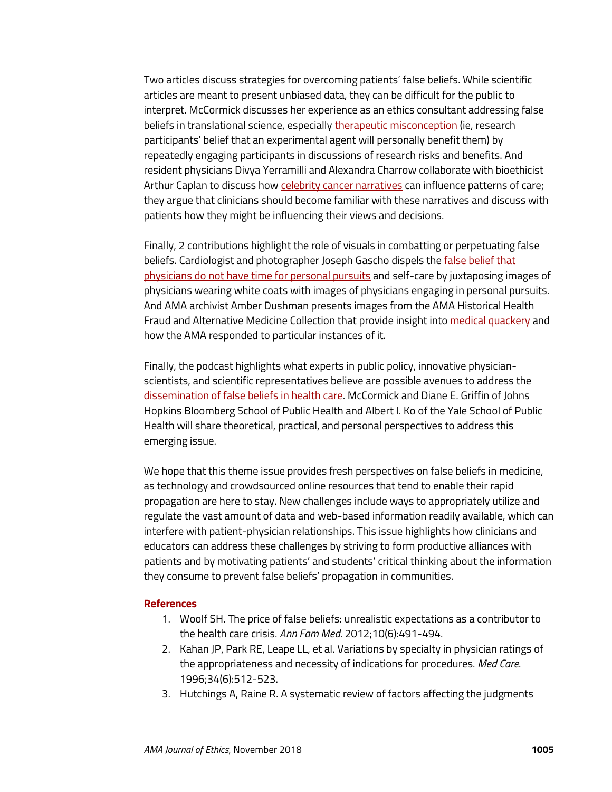Two articles discuss strategies for overcoming patients' false beliefs. While scientific articles are meant to present unbiased data, they can be difficult for the public to interpret. McCormick discusses her experience as an ethics consultant addressing false beliefs in translational science, especially [therapeutic misconception](https://journalofethics.ama-assn.org/article/how-should-research-ethicist-combat-false-beliefs-and-therapeutic-misconception-risk-biomedical/2018-11) (ie, research participants' belief that an experimental agent will personally benefit them) by repeatedly engaging participants in discussions of research risks and benefits. And resident physicians Divya Yerramilli and Alexandra Charrow collaborate with bioethicist Arthur Caplan to discuss how [celebrity cancer narratives](https://journalofethics.ama-assn.org/article/how-should-clinicians-respond-when-patients-are-influenced-celebrities-cancer-stories/2018-11) can influence patterns of care; they argue that clinicians should become familiar with these narratives and discuss with patients how they might be influencing their views and decisions.

Finally, 2 contributions highlight the role of visuals in combatting or perpetuating false beliefs. Cardiologist and photographer Joseph Gascho dispels th[e false belief that](https://journalofethics.ama-assn.org/article/when-i-take-my-white-coat/2018-11)  [physicians do not have time for personal pursuits](https://journalofethics.ama-assn.org/article/when-i-take-my-white-coat/2018-11) and self-care by juxtaposing images of physicians wearing white coats with images of physicians engaging in personal pursuits. And AMA archivist Amber Dushman presents images from the AMA Historical Health Fraud and Alternative Medicine Collection that provide insight int[o medical quackery](https://journalofethics.ama-assn.org/article/ads-and-labels-early-twentieth-century-health-fraud-promotions/2018-11) and how the AMA responded to particular instances of it.

Finally, the podcast highlights what experts in public policy, innovative physicianscientists, and scientific representatives believe are possible avenues to address the [dissemination of false beliefs in health care.](https://journalofethics.ama-assn.org/podcast/ethics-talk-dissemination-of-false-beliefs-in-health-care) McCormick and Diane E. Griffin of Johns Hopkins Bloomberg School of Public Health and Albert I. Ko of the Yale School of Public Health will share theoretical, practical, and personal perspectives to address this emerging issue.

We hope that this theme issue provides fresh perspectives on false beliefs in medicine, as technology and crowdsourced online resources that tend to enable their rapid propagation are here to stay. New challenges include ways to appropriately utilize and regulate the vast amount of data and web-based information readily available, which can interfere with patient-physician relationships. This issue highlights how clinicians and educators can address these challenges by striving to form productive alliances with patients and by motivating patients' and students' critical thinking about the information they consume to prevent false beliefs' propagation in communities.

### **References**

- 1. Woolf SH. The price of false beliefs: unrealistic expectations as a contributor to the health care crisis. *Ann Fam Med*. 2012;10(6):491-494.
- 2. Kahan JP, Park RE, Leape LL, et al. Variations by specialty in physician ratings of the appropriateness and necessity of indications for procedures. *Med Care*. 1996;34(6):512-523.
- 3. Hutchings A, Raine R. A systematic review of factors affecting the judgments